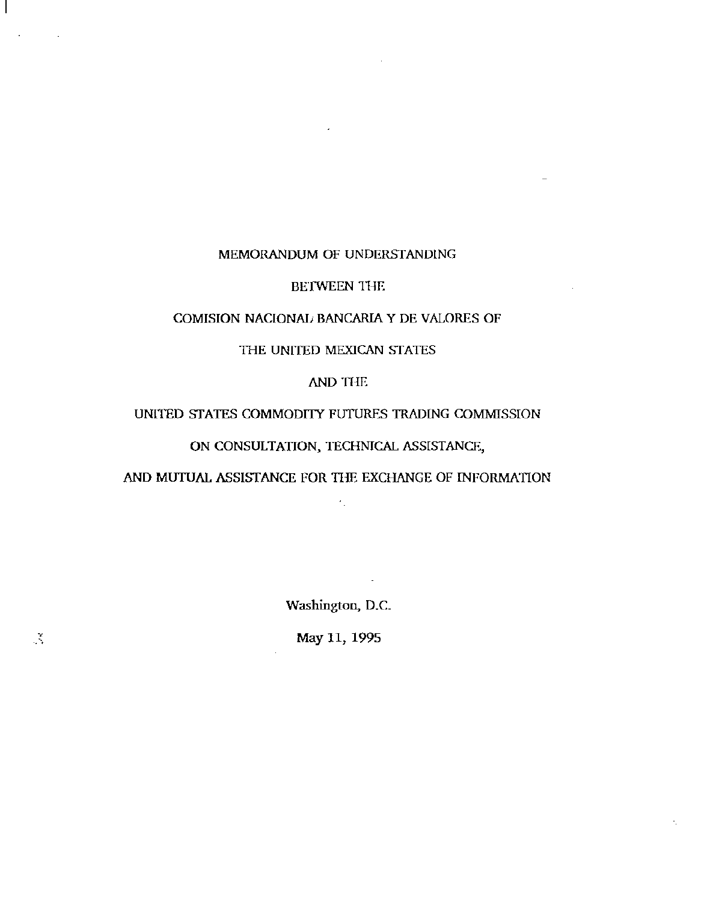### MEMORANDUM OF UNDERSfANDlNG

### BETWEEN THE

### COMISION NACIONA!j BANCARIA Y DE VALORES OF

### THE UNITED MEXICAN STATES

### AND THE

### UNITED STATES COMMODITY FUTURES TRADING COMMISSION

## ON CONSULTATION, TECHNICAL ASSISTANCE,

### AND MUTUAL ASSISTANCE FOR THE EXCHANGE OF INFORMATION

 $\epsilon_{\perp}$ 

Washington, D.C.

May 11, 1995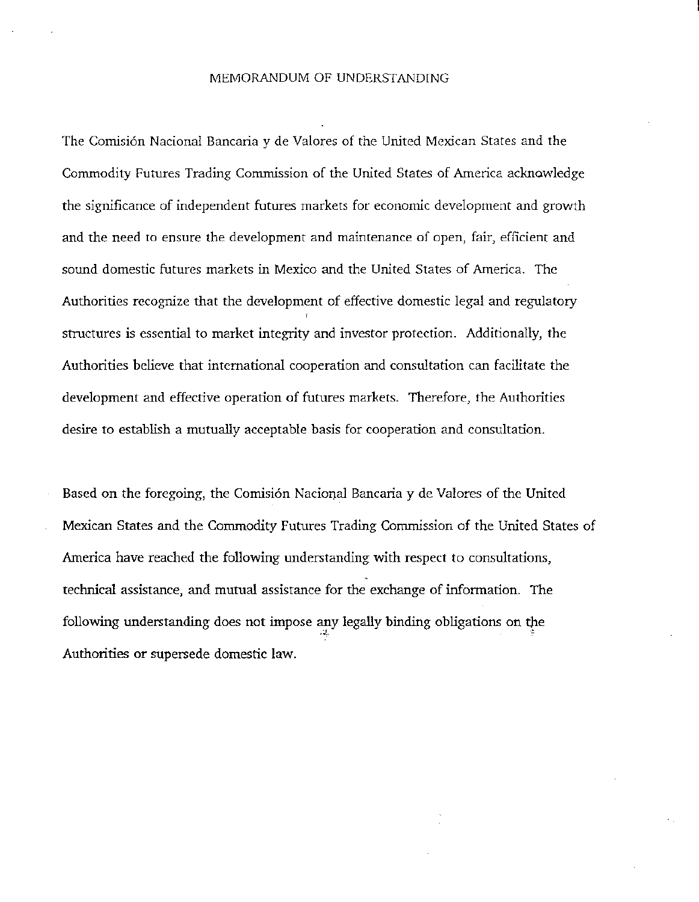### MEMORANDUM OF UNDERSTANDING

The Comisión Nacional Bancaria y de Valores of the United Mexican States and the Commodity Futures Trading Commission of the United States of America acknowledge the significance of independent futures markets for economic development and growth and the need to ensure the development and maintenance of open, fair, efficient and sound domestic futures markets in Mexico and the United States of America. The Authorities recognize that the development of effective domestic legal and regulatory structures is essential to market integrity and investor protection. Additionally, the Authorities believe that international cooperation and consultation can facilitate the development and effective operation of futures markets. Therefore, the Authorities desire to establish a mutually acceptable basis for cooperation and consultation.

Based on the foregoing, the Comisi6n Nacional Bancaria y de Valores of the United Mexican States and the Commodity Futures Trading Commission of the United States of America have reached the following understanding with respect to consultations, technical assistance, and mutual assistance for the exchange of information. The following understanding does not impose any legally binding obligations on the Authorities or supersede domestic law.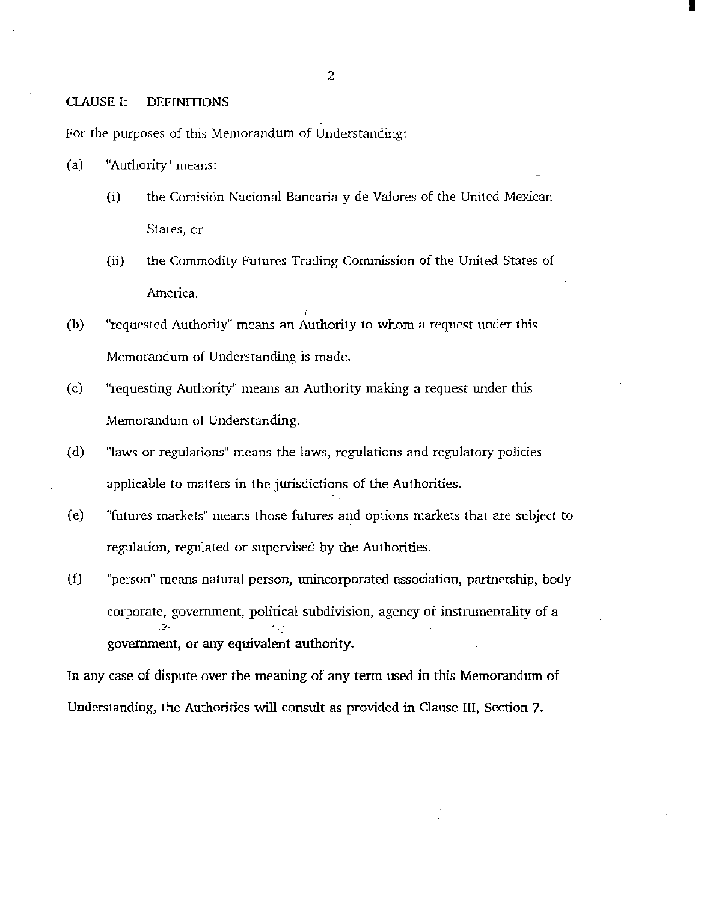### 2

I

### CLAUSE I: DEFINITIONS

For the purposes of this Memorandum of Understanding:

- (a) "Authority" means:
	- (i) the Comisión Nacional Bancaria y de Valores of the United Mexican States, or
	- (ii) the Commodity Futures Trading Commission of the United States of America.
- (b) "requested Authority'' means an Authority to whom a request under this Memorandum of Understanding is made.
- (c) "requesting Authority" means an Authority making a request under this Memorandum of Understanding.
- (d) "laws or regulations" means the laws, regulations and regulatory policies applicable to matters in the jurisdictions of the Authorities.
- (e) "futures markets" means those futures and options markets that are subject to regulation, regulated or supervised by the Authorities.
- (f) "person" means natural person, unincorponited association, partnership, body corporate, government, political subdivision, agency or instrumentality of a  $\sim$ government, or any equivalent authority.

In any case of dispute over the meaning of any term used in this Memorandum of Understanding, the Authorities will consult as provided in Clause III, Section 7.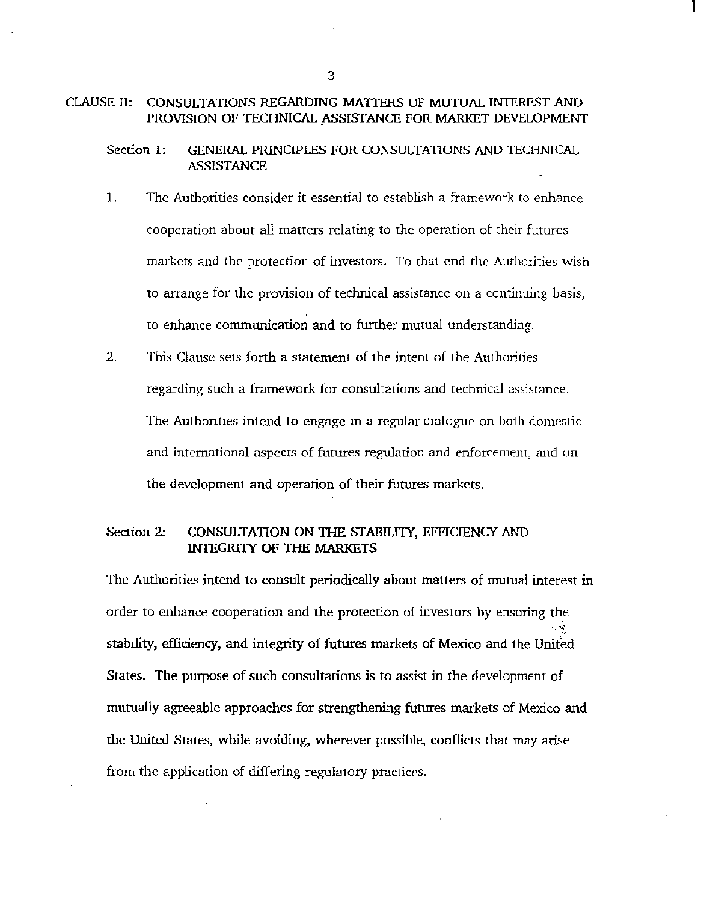### CLAUSE II: CONSULTATIONS REGARDING MATTERS OF MUTUAL INTEREST AND PROVISION OF TECHNICAL ASSISTANCE FOR MARKET DEVELOPMENT

Section 1: GENERAL PRINCIPLES FOR CONSULTATIONS AND TECHNICAL ASSISTANCE

- 1. The Authorities consider it essential to establish a framework to enhance cooperation about all matters relating to the operation of their futures markets and the protection of investors. To that end the Authorities wish to arrange for the provision of teclmical assistance on a continuing basis, to enhance communication and to further mutual understanding.
- 2. This Clause sets forth a statement of the intent of the Authorities regarding such a framework for consultations and technical assistance. The Authorities intend to engage in a regular dialogue on both domestic and international aspects of futures regulation and enforcement, and un the development and operation of their futures markets.

### Section 2: CONSULTATION ON THE STABILITY, EFFICIENCY AND INTEGRITY OF THE MARKETS

The Authorities intend to consult periodically about matters of mutual interest in order to enhance cooperation and the protection of investors by ensuring the ., stability, efficiency, and integrity of futures markets of Mexico and the United States. The purpose of such consultations is to assist in the development of mutually agreeable approaches for strengthening futures markets of Mexico and the United States, while avoiding, wherever possible, conflicts that may arise from the application of differing regulatory practices.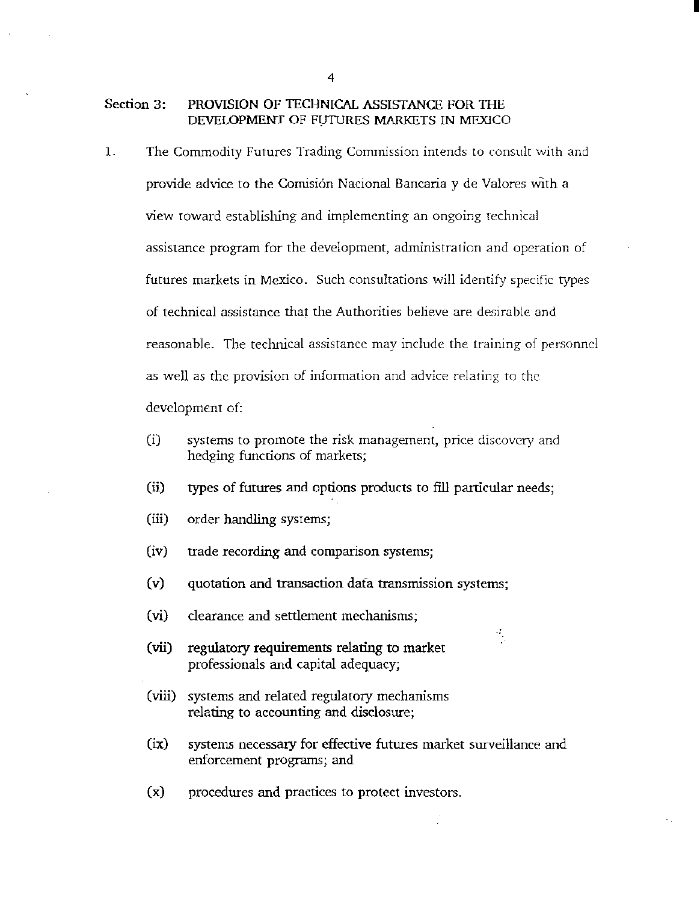#### Section 3: PROVISION OF TECHNICAL ASSISTANCE FOR THE DEVELOPMENT OF FUTURES MARKETS IN MEXICO

- 1. The Commodity Futures Trading Commission intends to consult with and provide advice to the Comisión Nacional Bancaria  $y$  de Valores with a view roward establishing and implementing an ongoing technical assistance program for the development, administration and operation of futures markets in Mexico. Such consultations will identify specific types of technical assistance that the Authorities believe are desirable and reasonable. The technical assistance may include the training of personnel as well as the provision of information and advice relating to the development of:
	- (i) systems to promote the risk management, price discovery and hedging functions of markers;
	- (ii) types of futures and options products to fill particular needs;
	- (iii) order handling systems;
	- (iv) trade recording and comparison systems;
	- (v) quotation and transaction dafa transmission systems;
	- (vi) clearance and settlement mechanisms;
	- (vii) regulatory requirements relating to market professionals and capital adequacy;
	- (viii) systems and related regulatory mechanisms relating to accounting and disclosure;
	- (ix) systems necessary for effective futures market surveillance and enforcement programs; and

 $\frac{1}{\sqrt{2}}$ 

(x) procedures and practices to protect investors.

4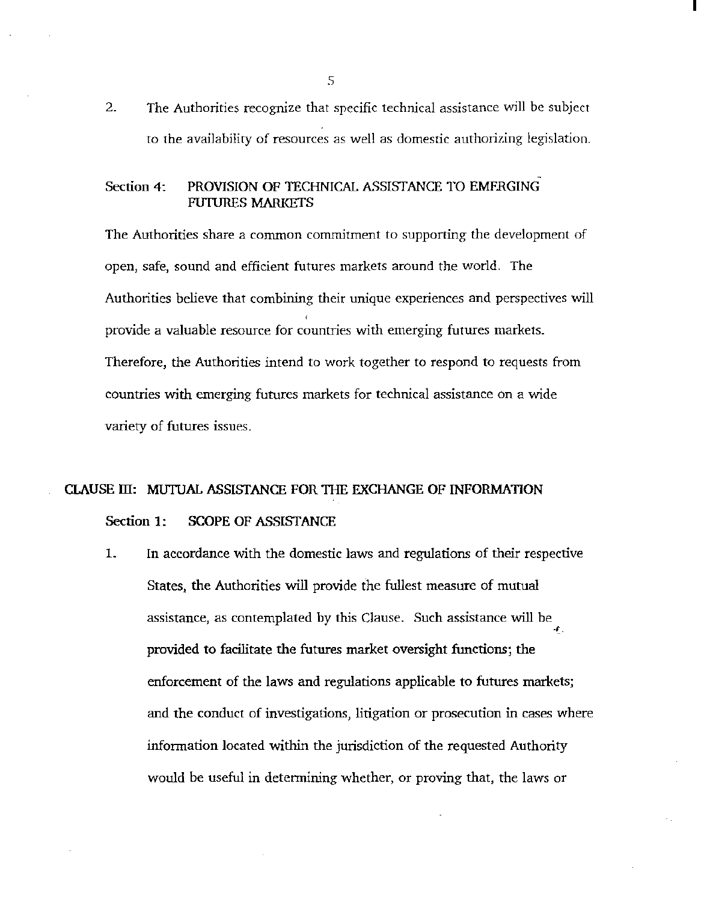2. The Authorities recognize that specific technical assistance will be subject to the availability of resources as well as domestic authorizing legislation. I

Section 4: PROVISION OF TECHNICAL ASSISTANCE TO EMFRGING FUTURES MARKETS

The Authorities share a common commitment to supporting the development of open, safe, sound and efficient futures markets around the world. The Authorities believe that combining their unique experiences and perspectives will provide a valuable resource for countries with emerging futures markets. Therefore, the Authorities intend to work together to respond to requests from countries with emerging futures markets for technical assistance on a wide variety of futures issues.

# CLAUSE ill: MUTUAL ASSISTANCE FOR THE EXCHANGE OF INFORMATION Section 1: SCOPE OF ASSISTANCE

1. In accordance with the domestic laws and regulations of their respective States, the Authorities will provide the fullest measure of mutual assistance, as contemplated by this Clause. Such assistance will be \_, provided to facilitate the futures market oversight functions; the enforcement of the laws and regulations applicable to futures markets; and the conduct of investigations, litigation or prosecution in cases where information located within the jurisdiction of the requested Authority would be useful in determining whether, or proving that, the laws or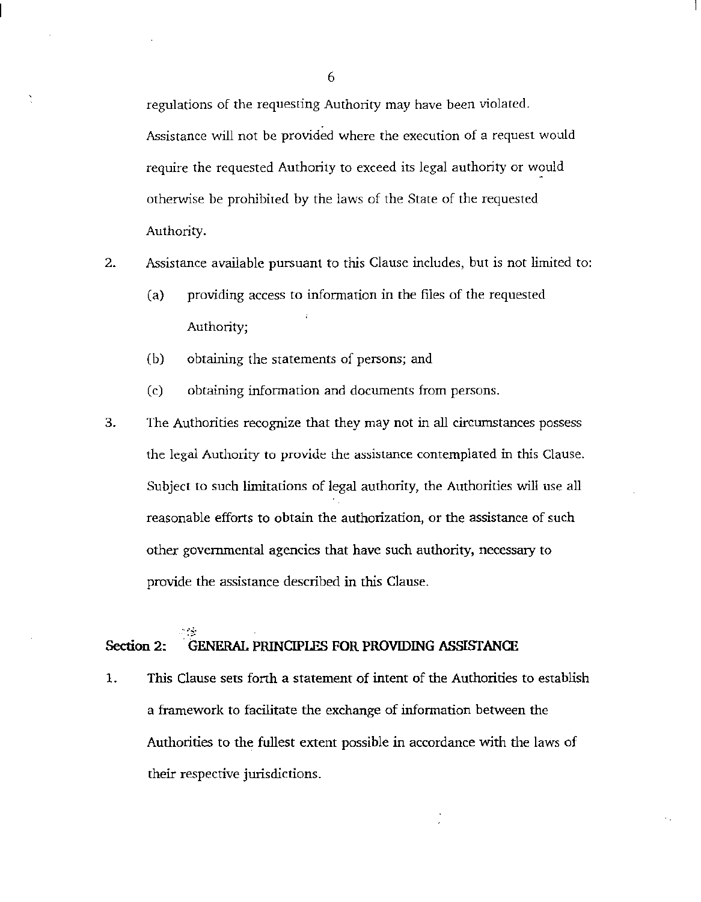regulations of the requesting Authority may have been violated.

Assistance will not be provided where the execution of a request would require the requested Authority to exceed its legal authority or would otherwise be prohibited by the laws of the State of the requested Authority.

2. Assistance available pursuant to this Clause includes, but is not limited to:

- (a) providing access to information in the files of the requested Authority;
- (b) obtaining the statements of persons; and
- (c) obtaining information and documents from persons.
- 3. The Authorities recognize that they may not in all circumstances possess the legal Authority to provide the assistance contemplated in this Clause. Subject to such limitations of legal authority, the Authorities will use all reasonable efforts to obtain the authorization, or the assistance of such other governmental agencies that have such authority, necessary to provide the assistance described in this Clause.

# Section 2: GENERAL PRINCIPLES FOR PROVIDING ASSISTANCE

1. This Clause sets forth a statement of intent of the Authorities to establish a framework to facilitate the exchange of information between the Authorities to the fullest extent possible in accordance with the laws of their respective jurisdictions.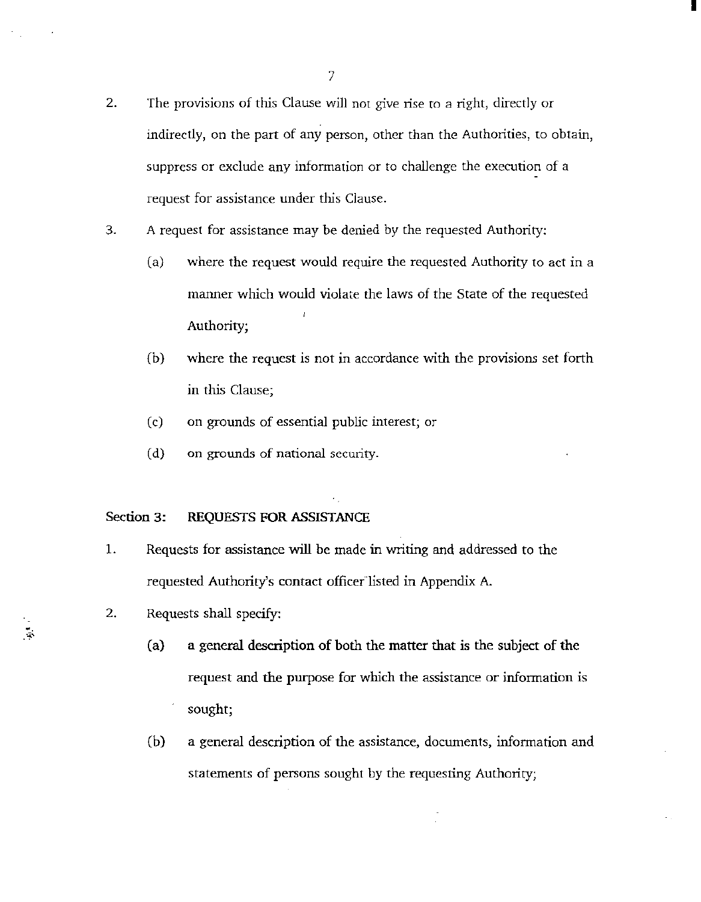2. The provisions of this Clause will not give rise to a right, directly or indirectly, on the part of any person, other than the Authorities, to obtain, suppress or exclude any information or to challenge the execution of a request for assistance under this Clause.

I

- 3. A request for assistance may be denied by the requested Authority:
	- (a) where the request would require the requested Authority to act in a manner which would violate the laws of the State of the requested Authority;
	- (b) where the request is not in accordance with the provisions set forth in this Clause;
	- (c) on grounds of essential public interest; or
	- (d) on grounds of national security.

### Section 3: REQUESTS FOR ASSISTANCE

- 1. Requests for assistance will be made in writing and addressed to the requested Authority's contact officer listed in Appendix A.
- 2. Requests shall specify:

 $\frac{1}{2}$ 

- (a) a general description of both the matter that is the subject of the request and the purpose for which the assistance or information is sought;
- (b) a general description of the assistance, documents, information and statements of persons sought by the requesting Authority;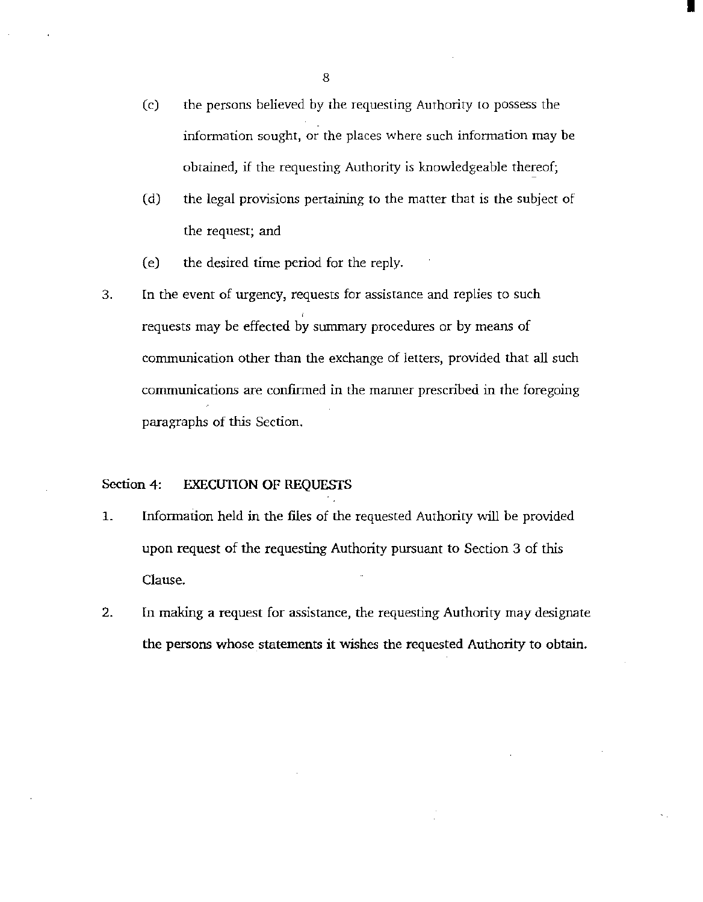(c) the persons believed by the requesting Authority to possess the information sought, or the places where such information may be obtained, if the requesting Authority is knowledgeable thereof;

I

- (d) the legal provisions pertaining to the matter that is the subject of the request; and
- (e) the desired time period for the reply.
- 3. In the event of urgency, requests for assistance and replies to such ' requests may be effected by *summary* procedures or by means of communication other than the exchange of letters, provided that all such conununications are confirmed in the manner prescribed in the foregoing paragraphs of *this* Section.

### Section 4: EXECUTION OF REQUESTS

- 1. Information held in the files of the requested Authority will be provided upon request of the requesting Authority pursuant to Section 3 of this Clause.
- 2. In making a request for assistance, the requesting Authority may designate the persons whose statements it wishes the requested Authority to obtain.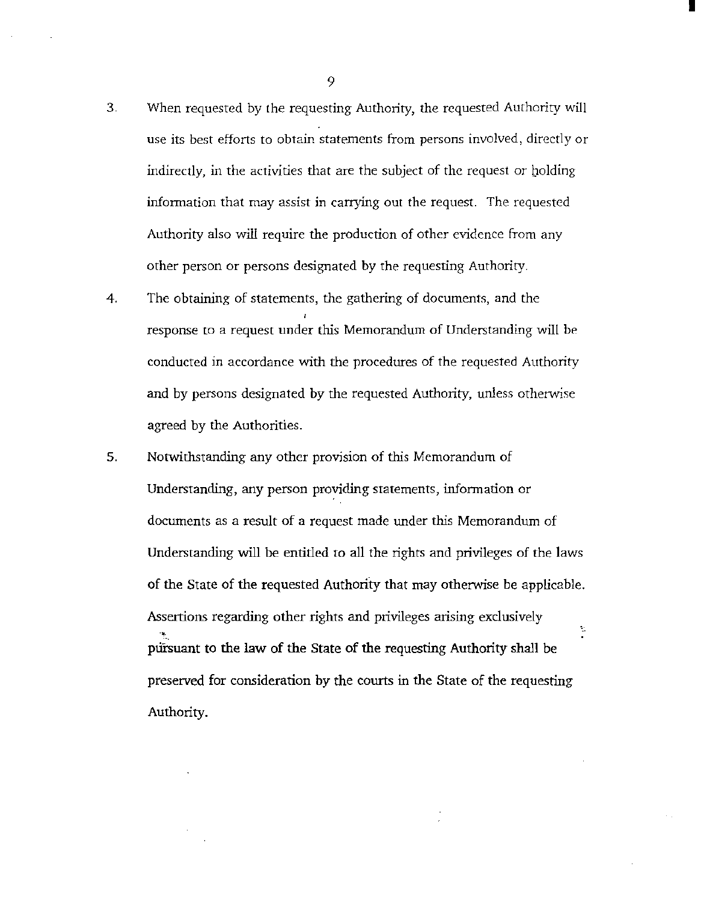- 3. When requested by the requesting Authority, the requested Authority will use its best efforts to obtain statements from persons involved, directly or indirectly, in the activities that are the subject of the request or balding information that may assist in carrying out the request. The requested Authority also will require the production of other evidence from any other person or persons designated by the requesting Authority.
- 4. The obtaining of statements, the gathering of documents, and the response to a request under this Memorandum of Understanding will be conducted in accordance with the procedures of the requested Authority and by persons designated by the requested Authority, unless otherwise agreed by the Authorities.
- 5. Notwithstanding any other provision of this Memorandum of Understanding, any person providing statements, information or documents as a result of a request made under this Memorandum of Understanding will be entitled to all the rights and privileges of the laws of the State of the requested Authority that may otherwise be applicable. Assertions regarding other rights and privileges arising exclusively ..  $\frac{1}{\beta}$ pursuant to the law of the State of the requesting Authority shall be preserved for consideration by the courts in the State of the requesting Authority.

9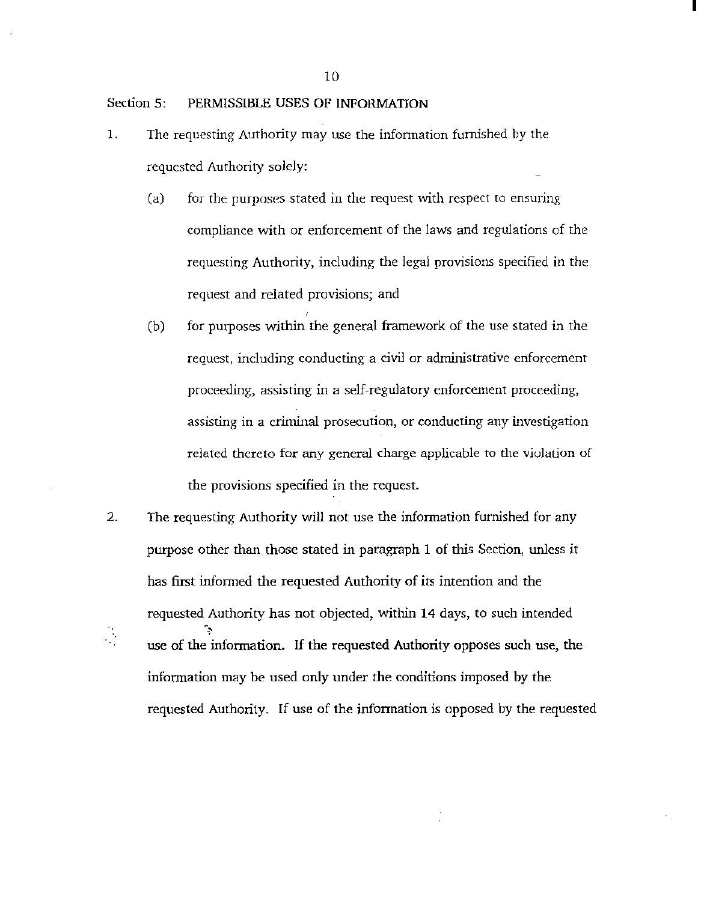### Section 5: PERMISSIBLE USES OF INFORMATION

- 1. The requesting Authority may use the information furnished by the requested Authority solely:
	- (a) for the purposes stated in the request with respect to ensuring compliance with or enforcement of the laws and regulations of the requesting Authority, including the legal provisions specified in the request and related provisions; and
	- (b) for purposes within the general framework of the use stated in the request, including conducting a civil or administrative enforcement proceeding, assisting in a self-regulatory enforcement proceeding, assisting in a criminal prosecution, or conducting any investigation related thereto for any general charge applicable to the violation of the provisions specified in the request.
- 2. The requesting Authority will not use the information furnished for any purpose other than those stated in paragraph 1 of this Section, unless it has first informed the requested Authority of its intention and the requested Authority has not objected, within 14 days, to such intended<br>  $\therefore$  use of the information. If the requested Authority opposes such use the use of the information. If the requested Authority opposes such use, the information may be used only under the conditions imposed by the requested Authority. If use of the information is opposed by the requested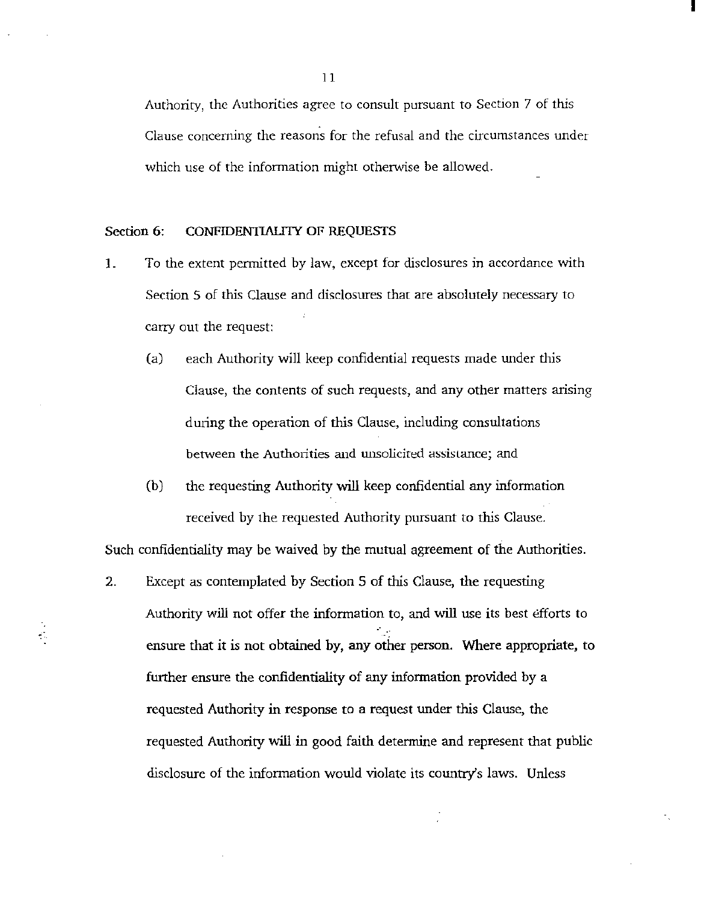Authority, the Authorities agree to consult pursuant to Section 7 of this Clause concerning the reasons for the refusal and the circumstances under which use of the information might otherwise be allowed.

I

### Section 6: CONFIDENTIALITY OF REQUESTS

 $\frac{1}{2}$ 

- ]\_ To the extent permitted by law, except for disclosures in accordance with Section 5 of this Clause and disclosures that are absolutely necessary to carry out the request:
	- (a) each Authority will keep confidential requests made under this Clause, the contents of such requests, and any other matters arising during the operation of this Clause, including consultations between the Authorities and unsolicited assistance; and
	- (b) the requesting Authority will keep confidential any information received by the requested Authority pursuant to this Clause.

Such confidentiality may be waived by the mutual agreement of the Authorities.

2. Except as contemplated by Section 5 of this Clause, the requesting Authority will not offer the information to, and will use its best efforts to ensure that it is not obtained by, any other person. Where appropriate, to further ensure the confidentiality of any information provided by a requested Authority in response to a request under this Clause, the requested Authority will in good faith determine and represent that public disclosure of the information would violate its country's laws. Unless

11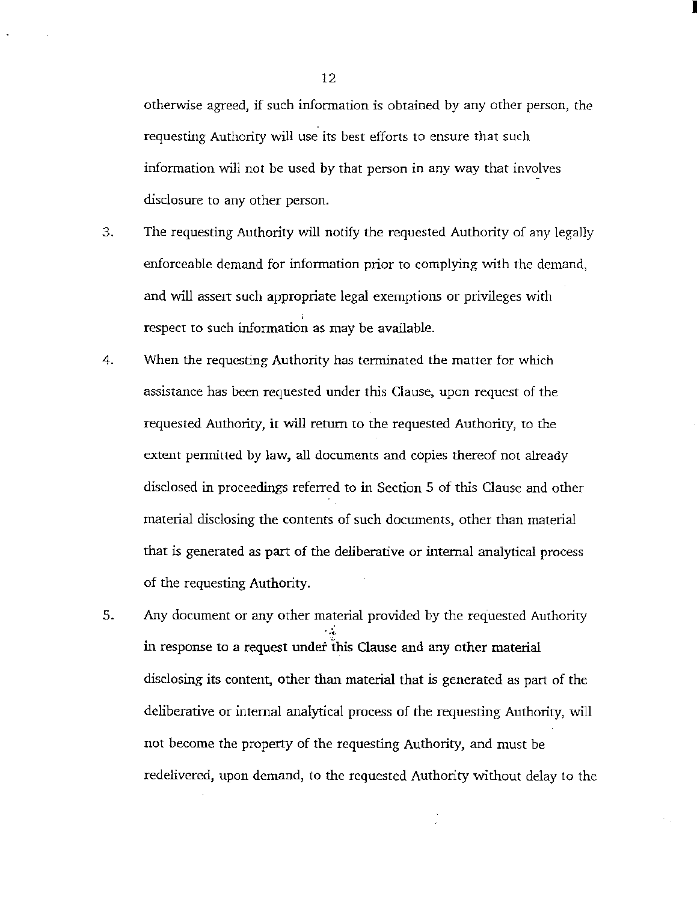otherwise agreed, if such information is obtained by any other person, the requesting Authority will use its best efforts to ensure that such information will not be used by that person in any way that involves disclosure to any other person.

- 3. The requesting Authority will notify the requested Authority of any legally enforceable demand for information prior to complying with the demand, and will assert such appropriate legal exemptions or privileges with respect to such information as may be available.
- 4. When the requesting Authority has terminated the matter for which assistance has been requested under this Clause, upon request of the requested Authority, it will return to the requested Authority, to the extent permitted by law, all documents and copies thereof not already disclosed in proceedings referred to in Section 5 of this Clause and other material disclosing the contents of such documents, other than material that is generated as part of the deliberative or internal analytical process of the requesting Authority.
- 5. Any document or any other material provided by the requested Authority  $\ddot{\phantom{0}}$ in response to a request under this Clause and any other material disclosing its content, other than material that is generated as part of the deliberative or internal analytical process of the requesting Authority, will not become the property of the requesting Authority, and must be redelivered, upon demand, to the requested Authority without delay to the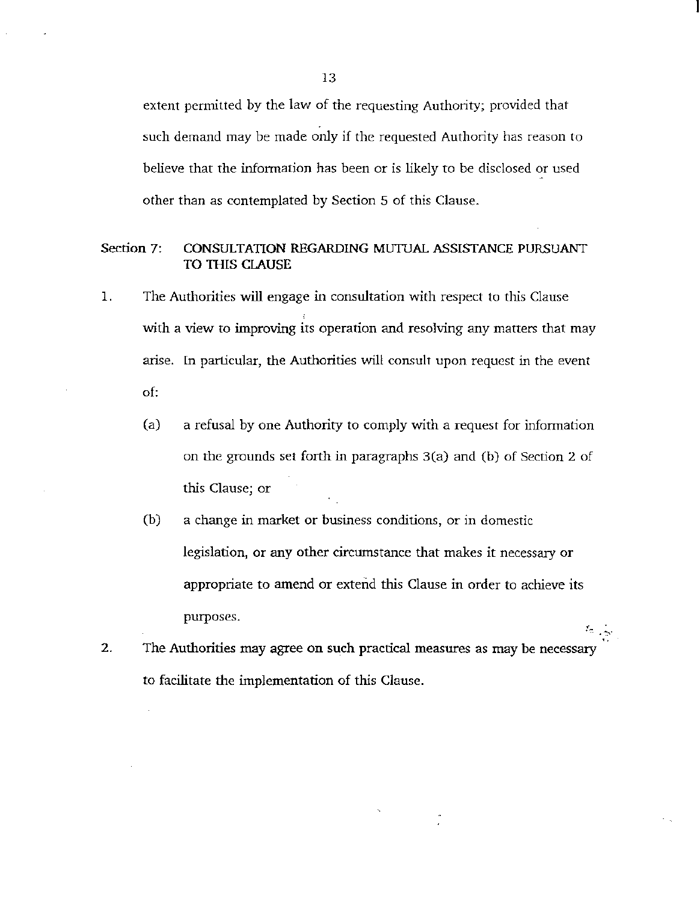extent permitted by the law of the requesting Authority; provided that such demand may be made only if the requested Authority has reason to believe that the information has been or is likely to be disclosed or used other than as contemplated by Section 5 of this Clause.

### Section 7: CONSULTATION REGARDING MUTUAL ASSISTANCE PURSUANT TO THIS CLAUSE

- 1. The Authorities will engage in consultation with respect to this Clause with a view to improving its operation and resolving any matters that may arise. In particular, the Authorities will consult upon request in the event of:
	- (a) a refusal by one Authority to comply with a request for information on the grounds set forth in paragraphs 3(a) and (b) of Section 2 of this Clause; or
	- (b) a change in market or business conditions, or in domestic legislation, or any other circumstance that makes it necessary or appropriate to amend or extend this Clause in order to achieve its purposes.

 $\sim$   $\sim$ 

2. The Authorities may agree on such practical measures as may be necessary to facilitate the implementation of this Clause.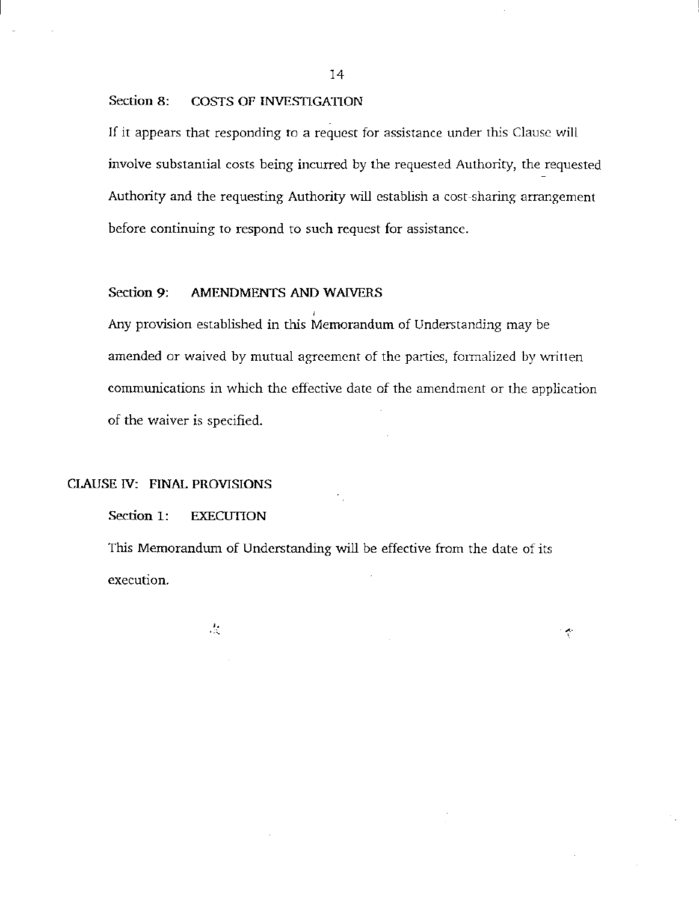#### Section 8: COSTS OF INVESTIGATION

If it appears that responding to a request for assistance under this Clause will involve substantial costs being incurred by the requested Authority, the requested Authority and the requesting Authority will establish a cost -sharing arrangement before continuing to respond to such request for assistance.

### Section 9: AMENDMENTS AND WAIVERS

' Any provision established in this Memorandum of Understanding may be amended or waived by mutual agreement of the parties, formalized by written communications in which the effective date of the amendment or the application of the waiver is specified.

### ClAUSE N: FINAL PROVISIONS

### Section 1: EXECUTION

This Memorandum of Understanding will be effective from the date of its execution.

°∲

 $\mathcal{L}_{\mathcal{L}}$ 

14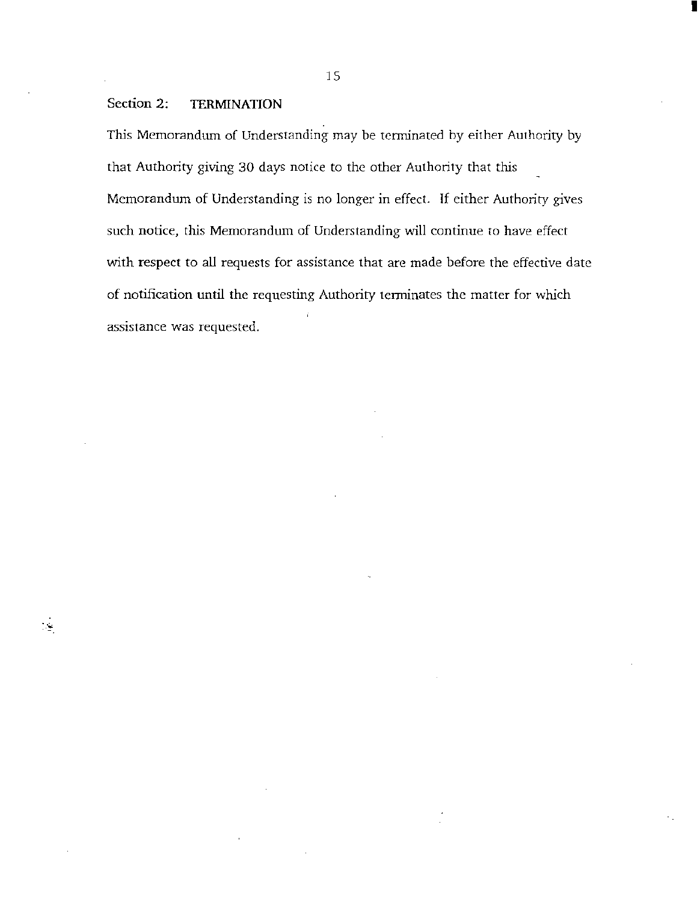## Section 2: TERMINATION

 $\mathcal{L}_{\mathcal{D}}$ 

This Memorandum of Understanding may be terminated by either Authority by that Authority giving 30 days notice to the other Authority that this Memorandum of Understanding is no longer in effect. If either Authority gives such notice, this Memorandum of Understanding will continue to have effect with respect to all requests for assistance that are made before the effective date of notification until the requesting Authority terminates the matter for which assistance was requested.

15